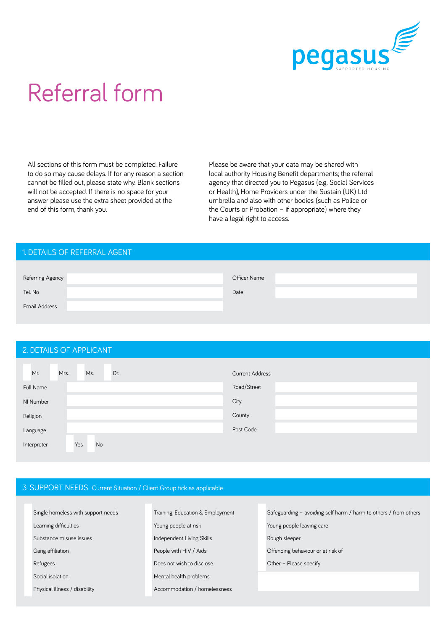

# Referral form

All sections of this form must be completed. Failure to do so may cause delays. If for any reason a section cannot be filled out, please state why. Blank sections will not be accepted. If there is no space for your answer please use the extra sheet provided at the end of this form, thank you.

Please be aware that your data may be shared with local authority Housing Benefit departments; the referral agency that directed you to Pegasus (e.g. Social Services or Health), Home Providers under the Sustain (UK) Ltd umbrella and also with other bodies (such as Police or the Courts or Probation – if appropriate) where they have a legal right to access.

#### 1. DETAILS OF REFERRAL AGENT

| Referring Agency | Officer Name |
|------------------|--------------|
| Tel. No          | Date         |
| Email Address    |              |

#### 2. DETAILS OF APPLICANT

| Mr.<br>Mrs. | Ms.       | Dr. | <b>Current Address</b> |
|-------------|-----------|-----|------------------------|
| Full Name   |           |     | Road/Street            |
| NI Number   |           |     | City                   |
| Religion    |           |     | County                 |
| Language    |           |     | Post Code              |
| Interpreter | Yes<br>No |     |                        |

#### 3. SUPPORT NEEDS Current Situation / Client Group tick as applicable

| Single homeless with support needs | Training, Education & Employment | Safeguarding - avoiding self harm / harm to others / from others |
|------------------------------------|----------------------------------|------------------------------------------------------------------|
| Learning difficulties              | Young people at risk             | Young people leaving care                                        |
| Substance misuse issues            | Independent Living Skills        | Rough sleeper                                                    |
| Gang affiliation                   | People with HIV / Aids           | Offending behaviour or at risk of                                |
| Refugees                           | Does not wish to disclose        | Other - Please specify                                           |
| Social isolation                   | Mental health problems           |                                                                  |
| Physical illness / disability      | Accommodation / homelessness     |                                                                  |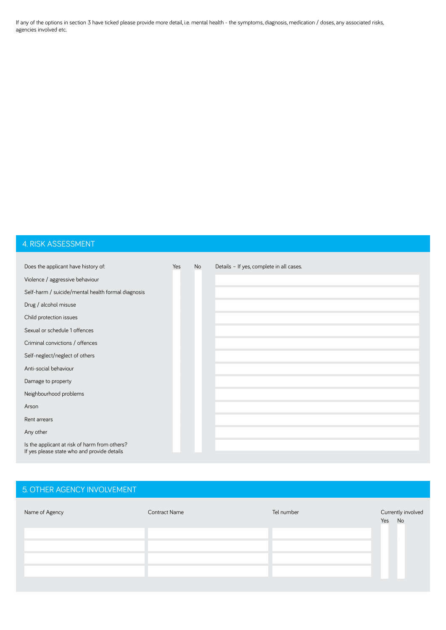If any of the options in section 3 have ticked please provide more detail, i.e. mental health - the symptoms, diagnosis, medication / doses, any associated risks, agencies involved etc.

### 4. RISK ASSESSMENT

| Does the applicant have history of:                                                          | Yes | No | Details - If yes, complete in all cases. |
|----------------------------------------------------------------------------------------------|-----|----|------------------------------------------|
| Violence / aggressive behaviour                                                              |     |    |                                          |
| Self-harm / suicide/mental health formal diagnosis                                           |     |    |                                          |
| Drug / alcohol misuse                                                                        |     |    |                                          |
| Child protection issues                                                                      |     |    |                                          |
| Sexual or schedule 1 offences                                                                |     |    |                                          |
| Criminal convictions / offences                                                              |     |    |                                          |
| Self-neglect/neglect of others                                                               |     |    |                                          |
| Anti-social behaviour                                                                        |     |    |                                          |
| Damage to property                                                                           |     |    |                                          |
| Neighbourhood problems                                                                       |     |    |                                          |
| Arson                                                                                        |     |    |                                          |
| Rent arrears                                                                                 |     |    |                                          |
| Any other                                                                                    |     |    |                                          |
| Is the applicant at risk of harm from others?<br>If yes please state who and provide details |     |    |                                          |

### 5. OTHER AGENCY INVOLVEMENT

| Name of Agency | <b>Contract Name</b> | Tel number | Currently involved<br>Yes No |
|----------------|----------------------|------------|------------------------------|
|                |                      |            |                              |
|                |                      |            |                              |
|                |                      |            |                              |
|                |                      |            |                              |
|                |                      |            |                              |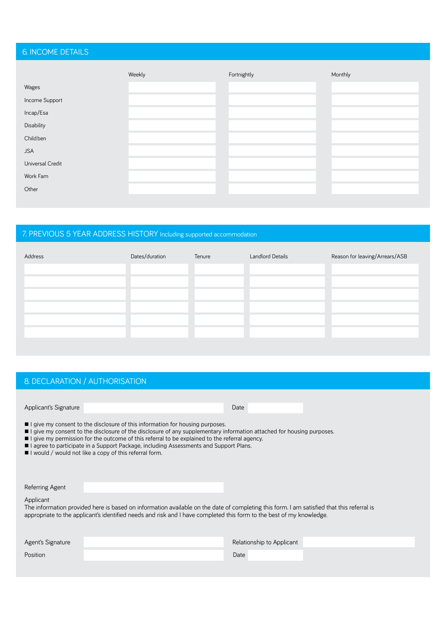## 6. INCOME DETAILS

|                  | Weekly | Fortnightly | Monthly |
|------------------|--------|-------------|---------|
| Wages            |        |             |         |
| Income Support   |        |             |         |
| Incap/Esa        |        |             |         |
| Disability       |        |             |         |
| Child.ben        |        |             |         |
| <b>JSA</b>       |        |             |         |
| Universal Credit |        |             |         |
| Work Fam         |        |             |         |
| Other            |        |             |         |
|                  |        |             |         |

## 7. PREVIOUS 5 YEAR ADDRESS HISTORY Including supported accommodation

| Address | Dates/duration | Tenure | Landlord Details | Reason for leaving/Arrears/ASB |
|---------|----------------|--------|------------------|--------------------------------|
|         |                |        |                  |                                |
|         |                |        |                  |                                |
|         |                |        |                  |                                |
|         |                |        |                  |                                |
|         |                |        |                  |                                |
|         |                |        |                  |                                |
|         |                |        |                  |                                |

## 8. DECLARATION / AUTHORISATION

| Applicant's Signature |                                                                                                                                                                                                                                                                                                                                                                                                                                                                                          | Date                      |  |
|-----------------------|------------------------------------------------------------------------------------------------------------------------------------------------------------------------------------------------------------------------------------------------------------------------------------------------------------------------------------------------------------------------------------------------------------------------------------------------------------------------------------------|---------------------------|--|
|                       | $\blacksquare$ I give my consent to the disclosure of this information for housing purposes.<br>I give my consent to the disclosure of the disclosure of any supplementary information attached for housing purposes.<br>I give my permission for the outcome of this referral to be explained to the referral agency.<br>I agree to participate in a Support Package, including Assessments and Support Plans.<br>$\blacksquare$ I would / would not like a copy of this referral form. |                           |  |
| Referring Agent       |                                                                                                                                                                                                                                                                                                                                                                                                                                                                                          |                           |  |
| Applicant             | The information provided here is based on information available on the date of completing this form. I am satisfied that this referral is<br>appropriate to the applicant's identified needs and risk and I have completed this form to the best of my knowledge.                                                                                                                                                                                                                        |                           |  |
| Agent's Signature     |                                                                                                                                                                                                                                                                                                                                                                                                                                                                                          | Relationship to Applicant |  |
| Position              |                                                                                                                                                                                                                                                                                                                                                                                                                                                                                          | Date                      |  |
|                       |                                                                                                                                                                                                                                                                                                                                                                                                                                                                                          |                           |  |